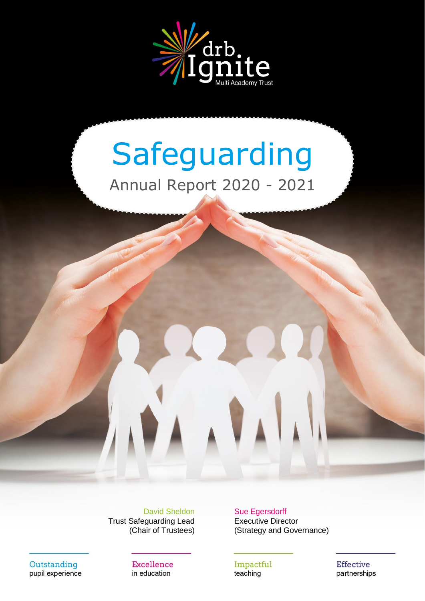

# Safeguarding Annual Report 2020 - 2021

Trust Safeguarding Lead Executive Director

David Sheldon Sue Egersdorff (Chair of Trustees) (Strategy and Governance)

Outstanding pupil experience

Excellence in education

Impactful teaching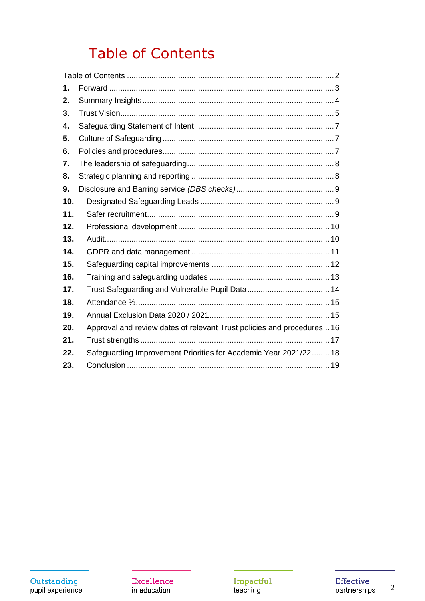# **Table of Contents**

<span id="page-1-0"></span>

| 1.  |                                                                        |
|-----|------------------------------------------------------------------------|
| 2.  |                                                                        |
| 3.  |                                                                        |
| 4.  |                                                                        |
| 5.  |                                                                        |
| 6.  |                                                                        |
| 7.  |                                                                        |
| 8.  |                                                                        |
| 9.  |                                                                        |
| 10. |                                                                        |
| 11. |                                                                        |
| 12. |                                                                        |
| 13. |                                                                        |
| 14. |                                                                        |
| 15. |                                                                        |
| 16. |                                                                        |
| 17. |                                                                        |
| 18. |                                                                        |
| 19. |                                                                        |
| 20. | Approval and review dates of relevant Trust policies and procedures 16 |
| 21. |                                                                        |
| 22. | Safeguarding Improvement Priorities for Academic Year 2021/22 18       |
| 23. |                                                                        |

Excellence in education

Impactful<br>teaching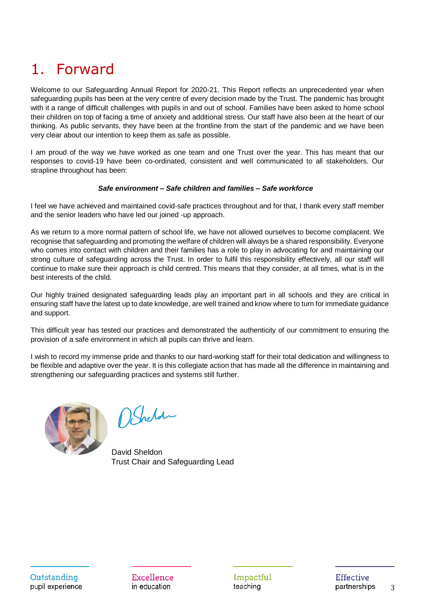### <span id="page-2-0"></span>1. Forward

Welcome to our Safeguarding Annual Report for 2020-21. This Report reflects an unprecedented year when safeguarding pupils has been at the very centre of every decision made by the Trust. The pandemic has brought with it a range of difficult challenges with pupils in and out of school. Families have been asked to home school their children on top of facing a time of anxiety and additional stress. Our staff have also been at the heart of our thinking. As public servants, they have been at the frontline from the start of the pandemic and we have been very clear about our intention to keep them as safe as possible.

I am proud of the way we have worked as one team and one Trust over the year. This has meant that our responses to covid-19 have been co-ordinated, consistent and well communicated to all stakeholders. Our strapline throughout has been:

#### *Safe environment – Safe children and families – Safe workforce*

I feel we have achieved and maintained covid-safe practices throughout and for that, I thank every staff member and the senior leaders who have led our joined -up approach.

As we return to a more normal pattern of school life, we have not allowed ourselves to become complacent. We recognise that safeguarding and promoting the welfare of children will always be a shared responsibility. Everyone who comes into contact with children and their families has a role to play in advocating for and maintaining our strong culture of safeguarding across the Trust. In order to fulfil this responsibility effectively, all our staff will continue to make sure their approach is child centred. This means that they consider, at all times, what is in the best interests of the child.

Our highly trained designated safeguarding leads play an important part in all schools and they are critical in ensuring staff have the latest up to date knowledge, are well trained and know where to turn for immediate guidance and support.

This difficult year has tested our practices and demonstrated the authenticity of our commitment to ensuring the provision of a safe environment in which all pupils can thrive and learn.

I wish to record my immense pride and thanks to our hard-working staff for their total dedication and willingness to be flexible and adaptive over the year. It is this collegiate action that has made all the difference in maintaining and strengthening our safeguarding practices and systems still further.



DSheld

 David Sheldon Trust Chair and Safeguarding Lead

Excellence in education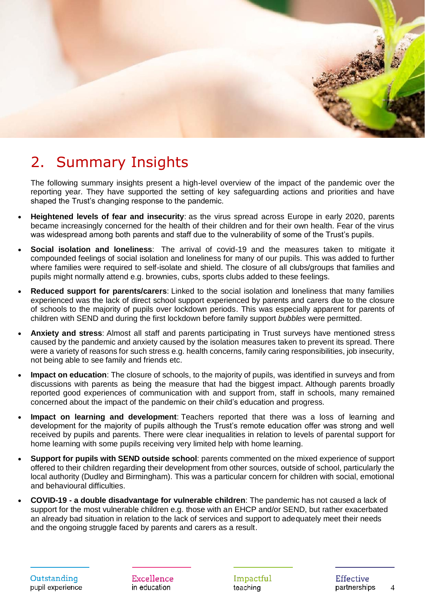

#### <span id="page-3-0"></span>2. Summary Insights

The following summary insights present a high-level overview of the impact of the pandemic over the reporting year. They have supported the setting of key safeguarding actions and priorities and have shaped the Trust's changing response to the pandemic.

- **Heightened levels of fear and insecurity**: as the virus spread across Europe in early 2020, parents became increasingly concerned for the health of their children and for their own health. Fear of the virus was widespread among both parents and staff due to the vulnerability of some of the Trust's pupils.
- **Social isolation and loneliness**: The arrival of covid-19 and the measures taken to mitigate it compounded feelings of social isolation and loneliness for many of our pupils. This was added to further where families were required to self-isolate and shield. The closure of all clubs/groups that families and pupils might normally attend e.g. brownies, cubs, sports clubs added to these feelings.
- **Reduced support for parents/carers**: Linked to the social isolation and loneliness that many families experienced was the lack of direct school support experienced by parents and carers due to the closure of schools to the majority of pupils over lockdown periods. This was especially apparent for parents of children with SEND and during the first lockdown before family support *bubbles* were permitted.
- **Anxiety and stress**: Almost all staff and parents participating in Trust surveys have mentioned stress caused by the pandemic and anxiety caused by the isolation measures taken to prevent its spread. There were a variety of reasons for such stress e.g. health concerns, family caring responsibilities, job insecurity, not being able to see family and friends etc.
- **Impact on education**: The closure of schools, to the majority of pupils, was identified in surveys and from discussions with parents as being the measure that had the biggest impact. Although parents broadly reported good experiences of communication with and support from, staff in schools, many remained concerned about the impact of the pandemic on their child's education and progress.
- **Impact on learning and development**: Teachers reported that there was a loss of learning and development for the majority of pupils although the Trust's remote education offer was strong and well received by pupils and parents. There were clear inequalities in relation to levels of parental support for home learning with some pupils receiving very limited help with home learning.
- **Support for pupils with SEND outside school**: parents commented on the mixed experience of support offered to their children regarding their development from other sources, outside of school, particularly the local authority (Dudley and Birmingham). This was a particular concern for children with social, emotional and behavioural difficulties.
- **COVID-19 - a double disadvantage for vulnerable children**: The pandemic has not caused a lack of support for the most vulnerable children e.g. those with an EHCP and/or SEND, but rather exacerbated an already bad situation in relation to the lack of services and support to adequately meet their needs and the ongoing struggle faced by parents and carers as a result.

Excellence in education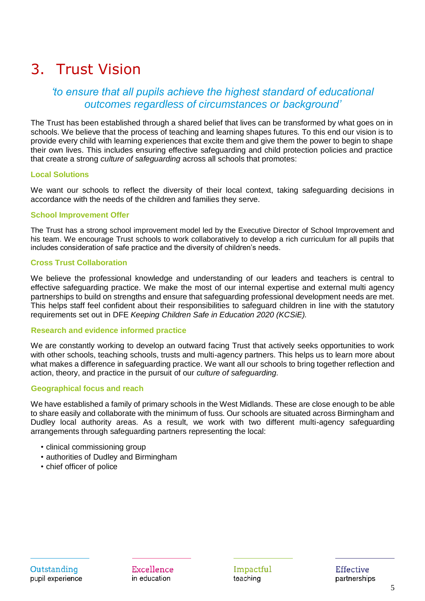### <span id="page-4-0"></span>3. Trust Vision

#### *'to ensure that all pupils achieve the highest standard of educational outcomes regardless of circumstances or background'*

The Trust has been established through a shared belief that lives can be transformed by what goes on in schools. We believe that the process of teaching and learning shapes futures. To this end our vision is to provide every child with learning experiences that excite them and give them the power to begin to shape their own lives. This includes ensuring effective safeguarding and child protection policies and practice that create a strong *culture of safeguarding* across all schools that promotes:

#### **Local Solutions**

We want our schools to reflect the diversity of their local context, taking safeguarding decisions in accordance with the needs of the children and families they serve.

#### **School Improvement Offer**

The Trust has a strong school improvement model led by the Executive Director of School Improvement and his team. We encourage Trust schools to work collaboratively to develop a rich curriculum for all pupils that includes consideration of safe practice and the diversity of children's needs.

#### **Cross Trust Collaboration**

We believe the professional knowledge and understanding of our leaders and teachers is central to effective safeguarding practice. We make the most of our internal expertise and external multi agency partnerships to build on strengths and ensure that safeguarding professional development needs are met. This helps staff feel confident about their responsibilities to safeguard children in line with the statutory requirements set out in DFE *Keeping Children Safe in Education 2020 (KCSiE).*

#### **Research and evidence informed practice**

We are constantly working to develop an outward facing Trust that actively seeks opportunities to work with other schools, teaching schools, trusts and multi-agency partners. This helps us to learn more about what makes a difference in safeguarding practice. We want all our schools to bring together reflection and action, theory, and practice in the pursuit of our *culture of safeguarding.*

#### **Geographical focus and reach**

We have established a family of primary schools in the West Midlands. These are close enough to be able to share easily and collaborate with the minimum of fuss. Our schools are situated across Birmingham and Dudley local authority areas. As a result, we work with two different multi-agency safeguarding arrangements through safeguarding partners representing the local:

- clinical commissioning group
- authorities of Dudley and Birmingham
- chief officer of police

Excellence in education

Impactful teaching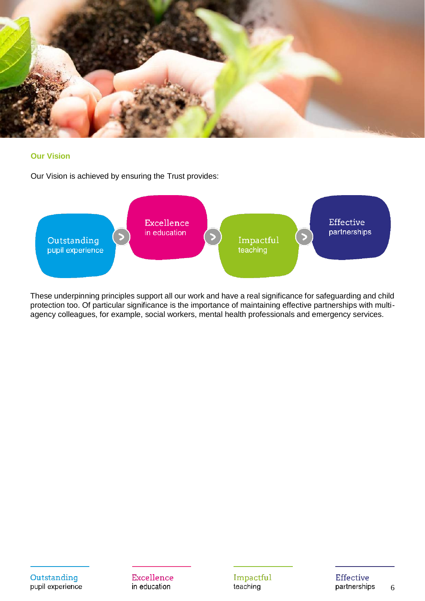

#### **Our Vision**

Our Vision is achieved by ensuring the Trust provides:



These underpinning principles support all our work and have a real significance for safeguarding and child protection too. Of particular significance is the importance of maintaining effective partnerships with multiagency colleagues, for example, social workers, mental health professionals and emergency services.

Outstanding pupil experience

Excellence in education

Impactful teaching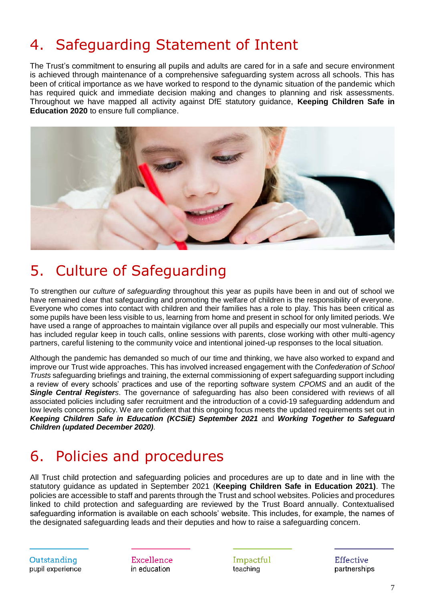# <span id="page-6-0"></span>4. Safeguarding Statement of Intent

The Trust's commitment to ensuring all pupils and adults are cared for in a safe and secure environment is achieved through maintenance of a comprehensive safeguarding system across all schools. This has been of critical importance as we have worked to respond to the dynamic situation of the pandemic which has required quick and immediate decision making and changes to planning and risk assessments. Throughout we have mapped all activity against DfE statutory guidance, **Keeping Children Safe in Education 2020** to ensure full compliance.



#### <span id="page-6-1"></span>5. Culture of Safeguarding

To strengthen our *culture of safeguarding* throughout this year as pupils have been in and out of school we have remained clear that safeguarding and promoting the welfare of children is the responsibility of everyone. Everyone who comes into contact with children and their families has a role to play. This has been critical as some pupils have been less visible to us, learning from home and present in school for only limited periods. We have used a range of approaches to maintain vigilance over all pupils and especially our most vulnerable. This has included regular keep in touch calls, online sessions with parents, close working with other multi-agency partners, careful listening to the community voice and intentional joined-up responses to the local situation.

Although the pandemic has demanded so much of our time and thinking, we have also worked to expand and improve our Trust wide approaches. This has involved increased engagement with the *Confederation of School Trusts* safeguarding briefings and training, the external commissioning of expert safeguarding support including a review of every schools' practices and use of the reporting software system *CPOMS* and an audit of the *Single Central Registers*. The governance of safeguarding has also been considered with reviews of all associated policies including safer recruitment and the introduction of a covid-19 safeguarding addendum and low levels concerns policy. We are confident that this ongoing focus meets the updated requirements set out in *Keeping Children Safe in Education (KCSiE) September 2021* and *Working Together to Safeguard Children (updated December 2020).*

### <span id="page-6-2"></span>6. Policies and procedures

All Trust child protection and safeguarding policies and procedures are up to date and in line with the statutory guidance as updated in September 2021 (**Keeping Children Safe in Education 2021)**. The policies are accessible to staff and parents through the Trust and school websites. Policies and procedures linked to child protection and safeguarding are reviewed by the Trust Board annually. Contextualised safeguarding information is available on each schools' website. This includes, for example, the names of the designated safeguarding leads and their deputies and how to raise a safeguarding concern.

Outstanding pupil experience Excellence in education

Impactful teaching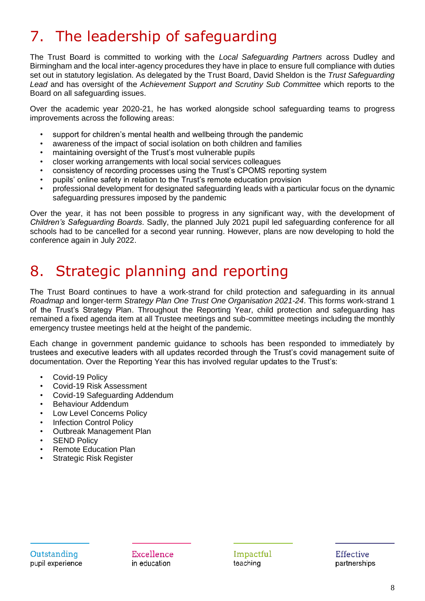# <span id="page-7-0"></span>7. The leadership of safeguarding

The Trust Board is committed to working with the *Local Safeguarding Partners* across Dudley and Birmingham and the local inter-agency procedures they have in place to ensure full compliance with duties set out in statutory legislation. As delegated by the Trust Board, David Sheldon is the *Trust Safeguarding Lead* and has oversight of the *Achievement Support and Scrutiny Sub Committee* which reports to the Board on all safeguarding issues.

Over the academic year 2020-21, he has worked alongside school safeguarding teams to progress improvements across the following areas:

- support for children's mental health and wellbeing through the pandemic
- awareness of the impact of social isolation on both children and families
- maintaining oversight of the Trust's most vulnerable pupils
- closer working arrangements with local social services colleagues
- consistency of recording processes using the Trust's CPOMS reporting system
- pupils' online safety in relation to the Trust's remote education provision
- professional development for designated safeguarding leads with a particular focus on the dynamic safeguarding pressures imposed by the pandemic

Over the year, it has not been possible to progress in any significant way, with the development of *Children's Safeguarding Boards*. Sadly, the planned July 2021 pupil led safeguarding conference for all schools had to be cancelled for a second year running. However, plans are now developing to hold the conference again in July 2022.

### <span id="page-7-1"></span>8. Strategic planning and reporting

The Trust Board continues to have a work-strand for child protection and safeguarding in its annual *Roadmap* and longer-term *Strategy Plan One Trust One Organisation 2021-24*. This forms work-strand 1 of the Trust's Strategy Plan. Throughout the Reporting Year, child protection and safeguarding has remained a fixed agenda item at all Trustee meetings and sub-committee meetings including the monthly emergency trustee meetings held at the height of the pandemic.

Each change in government pandemic guidance to schools has been responded to immediately by trustees and executive leaders with all updates recorded through the Trust's covid management suite of documentation. Over the Reporting Year this has involved regular updates to the Trust's:

- Covid-19 Policy
- Covid-19 Risk Assessment
- Covid-19 Safeguarding Addendum
- Behaviour Addendum
- Low Level Concerns Policy
- Infection Control Policy
- Outbreak Management Plan
- **SEND Policy**
- Remote Education Plan
- Strategic Risk Register

Excellence in education

Impactful teaching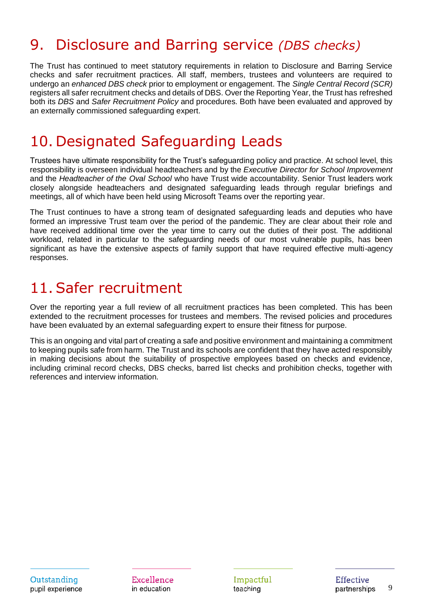### <span id="page-8-0"></span>9. Disclosure and Barring service *(DBS checks)*

The Trust has continued to meet statutory requirements in relation to Disclosure and Barring Service checks and safer recruitment practices. All staff, members, trustees and volunteers are required to undergo an *enhanced DBS check* prior to employment or engagement. The *Single Central Record (SCR)* registers all safer recruitment checks and details of DBS. Over the Reporting Year, the Trust has refreshed both its *DBS* and *Safer Recruitment Policy* and procedures. Both have been evaluated and approved by an externally commissioned safeguarding expert.

#### <span id="page-8-1"></span>10. Designated Safeguarding Leads

Trustees have ultimate responsibility for the Trust's safeguarding policy and practice. At school level, this responsibility is overseen individual headteachers and by the *Executive Director for School Improvement* and the *Headteacher of the Oval School* who have Trust wide accountability. Senior Trust leaders work closely alongside headteachers and designated safeguarding leads through regular briefings and meetings, all of which have been held using Microsoft Teams over the reporting year.

The Trust continues to have a strong team of designated safeguarding leads and deputies who have formed an impressive Trust team over the period of the pandemic. They are clear about their role and have received additional time over the year time to carry out the duties of their post. The additional workload, related in particular to the safeguarding needs of our most vulnerable pupils, has been significant as have the extensive aspects of family support that have required effective multi-agency responses.

#### <span id="page-8-2"></span>11.Safer recruitment

Over the reporting year a full review of all recruitment practices has been completed. This has been extended to the recruitment processes for trustees and members. The revised policies and procedures have been evaluated by an external safeguarding expert to ensure their fitness for purpose.

This is an ongoing and vital part of creating a safe and positive environment and maintaining a commitment to keeping pupils safe from harm. The Trust and its schools are confident that they have acted responsibly in making decisions about the suitability of prospective employees based on checks and evidence, including criminal record checks, DBS checks, barred list checks and prohibition checks, together with references and interview information.

Excellence in education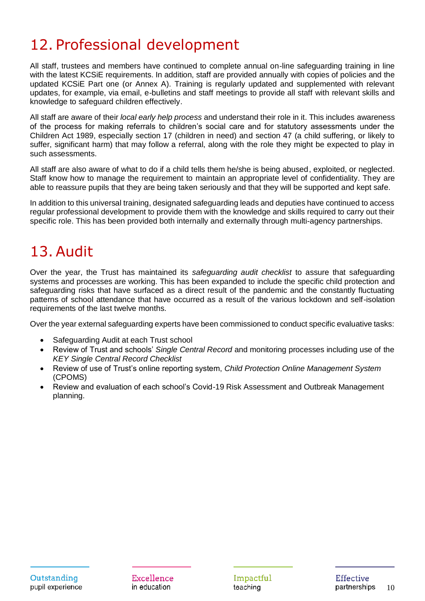### <span id="page-9-0"></span>12. Professional development

All staff, trustees and members have continued to complete annual on-line safeguarding training in line with the latest KCSiE requirements. In addition, staff are provided annually with copies of policies and the updated KCSiE Part one (or Annex A). Training is regularly updated and supplemented with relevant updates, for example, via email, e-bulletins and staff meetings to provide all staff with relevant skills and knowledge to safeguard children effectively.

All staff are aware of their *local early help process* and understand their role in it. This includes awareness of the process for making referrals to children's social care and for statutory assessments under the Children Act 1989, especially section 17 (children in need) and section 47 (a child suffering, or likely to suffer, significant harm) that may follow a referral, along with the role they might be expected to play in such assessments.

All staff are also aware of what to do if a child tells them he/she is being abused, exploited, or neglected. Staff know how to manage the requirement to maintain an appropriate level of confidentiality. They are able to reassure pupils that they are being taken seriously and that they will be supported and kept safe.

In addition to this universal training, designated safeguarding leads and deputies have continued to access regular professional development to provide them with the knowledge and skills required to carry out their specific role. This has been provided both internally and externally through multi-agency partnerships.

# <span id="page-9-1"></span>13.Audit

Over the year, the Trust has maintained its *safeguarding audit checklist* to assure that safeguarding systems and processes are working. This has been expanded to include the specific child protection and safeguarding risks that have surfaced as a direct result of the pandemic and the constantly fluctuating patterns of school attendance that have occurred as a result of the various lockdown and self-isolation requirements of the last twelve months.

Over the year external safeguarding experts have been commissioned to conduct specific evaluative tasks:

- Safeguarding Audit at each Trust school
- Review of Trust and schools' *Single Central Record* and monitoring processes including use of the *KEY Single Central Record Checklist*
- Review of use of Trust's online reporting system, *Child Protection Online Management System* (CPOMS)
- Review and evaluation of each school's Covid-19 Risk Assessment and Outbreak Management planning.

Excellence in education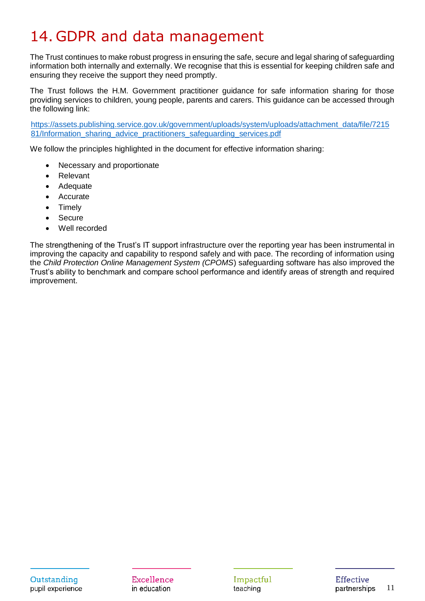# <span id="page-10-0"></span>14. GDPR and data management

The Trust continues to make robust progress in ensuring the safe, secure and legal sharing of safeguarding information both internally and externally. We recognise that this is essential for keeping children safe and ensuring they receive the support they need promptly.

The Trust follows the H.M. Government practitioner guidance for safe information sharing for those providing services to children, young people, parents and carers. This guidance can be accessed through the following link:

[https://assets.publishing.service.gov.uk/government/uploads/system/uploads/attachment\\_data/file/7215](https://assets.publishing.service.gov.uk/government/uploads/system/uploads/attachment_data/file/721581/Information_sharing_advice_practitioners_safeguarding_services.pdf) [81/Information\\_sharing\\_advice\\_practitioners\\_safeguarding\\_services.pdf](https://assets.publishing.service.gov.uk/government/uploads/system/uploads/attachment_data/file/721581/Information_sharing_advice_practitioners_safeguarding_services.pdf)

We follow the principles highlighted in the document for effective information sharing:

- Necessary and proportionate
- **Relevant**
- **Adequate**
- **Accurate**
- **Timely**
- **Secure**
- Well recorded

The strengthening of the Trust's IT support infrastructure over the reporting year has been instrumental in improving the capacity and capability to respond safely and with pace. The recording of information using the *Child Protection Online Management System (CPOMS*) safeguarding software has also improved the Trust's ability to benchmark and compare school performance and identify areas of strength and required improvement.

Excellence in education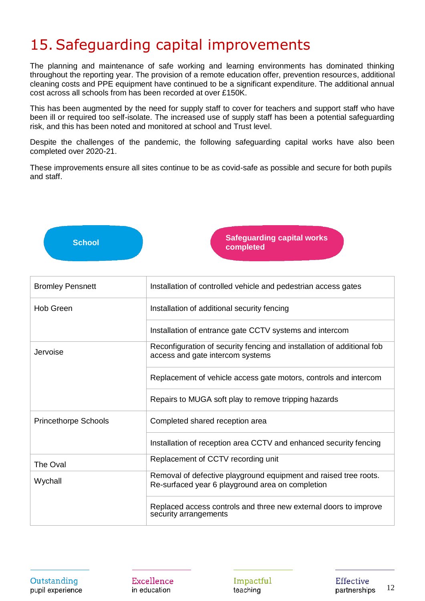### <span id="page-11-0"></span>15.Safeguarding capital improvements

The planning and maintenance of safe working and learning environments has dominated thinking throughout the reporting year. The provision of a remote education offer, prevention resources, additional cleaning costs and PPE equipment have continued to be a significant expenditure. The additional annual cost across all schools from has been recorded at over £150K.

This has been augmented by the need for supply staff to cover for teachers and support staff who have been ill or required too self-isolate. The increased use of supply staff has been a potential safeguarding risk, and this has been noted and monitored at school and Trust level.

Despite the challenges of the pandemic, the following safeguarding capital works have also been completed over 2020-21.

These improvements ensure all sites continue to be as covid-safe as possible and secure for both pupils and staff.



| <b>Bromley Pensnett</b>     | Installation of controlled vehicle and pedestrian access gates                                                       |  |  |  |  |  |
|-----------------------------|----------------------------------------------------------------------------------------------------------------------|--|--|--|--|--|
| <b>Hob Green</b>            | Installation of additional security fencing                                                                          |  |  |  |  |  |
|                             | Installation of entrance gate CCTV systems and intercom                                                              |  |  |  |  |  |
| Jervoise                    | Reconfiguration of security fencing and installation of additional fob<br>access and gate intercom systems           |  |  |  |  |  |
|                             | Replacement of vehicle access gate motors, controls and intercom                                                     |  |  |  |  |  |
|                             | Repairs to MUGA soft play to remove tripping hazards                                                                 |  |  |  |  |  |
| <b>Princethorpe Schools</b> | Completed shared reception area                                                                                      |  |  |  |  |  |
|                             | Installation of reception area CCTV and enhanced security fencing                                                    |  |  |  |  |  |
| The Oval                    | Replacement of CCTV recording unit                                                                                   |  |  |  |  |  |
| Wychall                     | Removal of defective playground equipment and raised tree roots.<br>Re-surfaced year 6 playground area on completion |  |  |  |  |  |
|                             | Replaced access controls and three new external doors to improve<br>security arrangements                            |  |  |  |  |  |

Outstanding pupil experience Excellence in education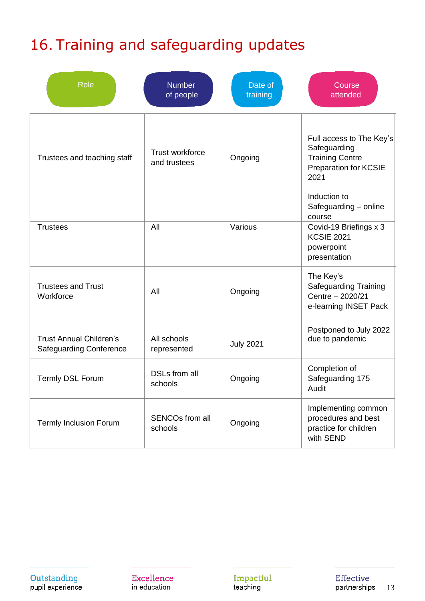# <span id="page-12-0"></span>16. Training and safeguarding updates

| <b>Role</b>                                                      | <b>Number</b><br>of people        | Date of<br>training | Course<br>attended                                                                                                                                            |
|------------------------------------------------------------------|-----------------------------------|---------------------|---------------------------------------------------------------------------------------------------------------------------------------------------------------|
| Trustees and teaching staff                                      | Trust workforce<br>and trustees   | Ongoing             | Full access to The Key's<br>Safeguarding<br><b>Training Centre</b><br><b>Preparation for KCSIE</b><br>2021<br>Induction to<br>Safeguarding - online<br>course |
| <b>Trustees</b>                                                  | All                               | Various             | Covid-19 Briefings x 3<br><b>KCSIE 2021</b><br>powerpoint<br>presentation                                                                                     |
| <b>Trustees and Trust</b><br>Workforce                           | All                               | Ongoing             | The Key's<br><b>Safeguarding Training</b><br>Centre - 2020/21<br>e-learning INSET Pack                                                                        |
| <b>Trust Annual Children's</b><br><b>Safeguarding Conference</b> | All schools<br>represented        | <b>July 2021</b>    | Postponed to July 2022<br>due to pandemic                                                                                                                     |
| <b>Termly DSL Forum</b>                                          | <b>DSLs from all</b><br>schools   | Ongoing             | Completion of<br>Safeguarding 175<br>Audit                                                                                                                    |
| <b>Termly Inclusion Forum</b>                                    | <b>SENCOs from all</b><br>schools | Ongoing             | Implementing common<br>procedures and best<br>practice for children<br>with SEND                                                                              |

Outstanding<br>pupil experience

Excellence in education

Impactful<br>teaching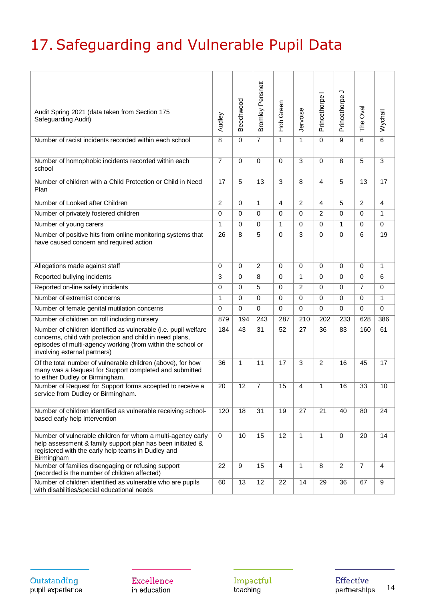# <span id="page-13-0"></span>17.Safeguarding and Vulnerable Pupil Data

| Audit Spring 2021 (data taken from Section 175<br>Safeguarding Audit)                                                                                                                                                      | Audley         | Beechwood   | Bromley Pensnett | Hob Green      | Jervoise       | Princethorpe   | っ<br>Princethorpe | The Oval       | Wychall        |
|----------------------------------------------------------------------------------------------------------------------------------------------------------------------------------------------------------------------------|----------------|-------------|------------------|----------------|----------------|----------------|-------------------|----------------|----------------|
| Number of racist incidents recorded within each school                                                                                                                                                                     | 8              | $\Omega$    | $\overline{7}$   | 1              | 1              | $\Omega$       | 9                 | 6              | $\overline{6}$ |
| Number of homophobic incidents recorded within each<br>school                                                                                                                                                              | $\overline{7}$ | 0           | $\Omega$         | $\Omega$       | 3              | $\Omega$       | 8                 | 5              | 3              |
| Number of children with a Child Protection or Child in Need<br>Plan                                                                                                                                                        | 17             | 5           | 13               | 3              | 8              | 4              | 5                 | 13             | 17             |
| Number of Looked after Children                                                                                                                                                                                            | $\overline{2}$ | 0           | 1                | 4              | $\overline{2}$ | 4              | 5                 | $\overline{2}$ | $\overline{4}$ |
| Number of privately fostered children                                                                                                                                                                                      | $\Omega$       | $\Omega$    | $\Omega$         | $\Omega$       | $\mathbf 0$    | $\overline{c}$ | 0                 | $\Omega$       | $\mathbf{1}$   |
| Number of young carers                                                                                                                                                                                                     | $\mathbf{1}$   | $\Omega$    | $\Omega$         | $\mathbf{1}$   | $\mathbf 0$    | 0              | 1                 | $\mathbf 0$    | 0              |
| Number of positive hits from online monitoring systems that<br>have caused concern and required action                                                                                                                     | 26             | 8           | 5                | $\mathbf 0$    | 3              | 0              | $\Omega$          | 6              | 19             |
| Allegations made against staff                                                                                                                                                                                             | $\mathbf 0$    | $\mathbf 0$ | $\overline{c}$   | $\mathbf 0$    | $\mathbf 0$    | 0              | $\mathbf 0$       | $\mathbf 0$    | 1              |
| Reported bullying incidents                                                                                                                                                                                                | 3              | 0           | 8                | $\mathbf 0$    | $\mathbf{1}$   | 0              | $\mathbf 0$       | $\mathbf 0$    | 6              |
| Reported on-line safety incidents                                                                                                                                                                                          | $\mathbf 0$    | $\mathbf 0$ | 5                | $\mathbf 0$    | 2              | 0              | 0                 | $\overline{7}$ | 0              |
| Number of extremist concerns                                                                                                                                                                                               | $\mathbf{1}$   | $\Omega$    | $\mathbf 0$      | $\mathbf 0$    | $\mathbf 0$    | 0              | $\Omega$          | $\mathbf 0$    | $\mathbf{1}$   |
| Number of female genital mutilation concerns                                                                                                                                                                               | $\mathbf 0$    | $\Omega$    | $\mathbf 0$      | $\mathbf 0$    | $\mathbf 0$    | 0              | 0                 | $\mathbf 0$    | 0              |
| Number of children on roll including nursery                                                                                                                                                                               | 879            | 194         | $\overline{243}$ | 287            | 210            | 202            | 233               | 628            | 386            |
| Number of children identified as vulnerable (i.e. pupil welfare<br>concerns, child with protection and child in need plans,<br>episodes of multi-agency working (from within the school or<br>involving external partners) | 184            | 43          | 31               | 52             | 27             | 36             | 83                | 160            | 61             |
| Of the total number of vulnerable children (above), for how<br>many was a Request for Support completed and submitted<br>to either Dudley or Birmingham.                                                                   | 36             | 1           | 11               | 17             | 3              | $\overline{2}$ | 16                | 45             | 17             |
| Number of Request for Support forms accepted to receive a<br>service from Dudley or Birmingham.                                                                                                                            | 20             | 12          | $\overline{7}$   | 15             | 4              | 1              | 16                | 33             | 10             |
| Number of children identified as vulnerable receiving school-<br>based early help intervention                                                                                                                             | 120            | 18          | 31               | 19             | 27             | 21             | 40                | 80             | 24             |
| Number of vulnerable children for whom a multi-agency early<br>help assessment & family support plan has been initiated &<br>registered with the early help teams in Dudley and<br>Birmingham                              | $\mathbf 0$    | 10          | 15               | 12             | 1              | $\mathbf{1}$   | $\Omega$          | 20             | 14             |
| Number of families disengaging or refusing support<br>(recorded is the number of children affected)                                                                                                                        | 22             | 9           | 15               | $\overline{4}$ | 1              | 8              | $\overline{2}$    | $\overline{7}$ | $\overline{4}$ |
| Number of children identified as vulnerable who are pupils<br>with disabilities/special educational needs                                                                                                                  | 60             | 13          | 12               | 22             | 14             | 29             | 36                | 67             | 9              |

Outstanding pupil experience

Excellence in education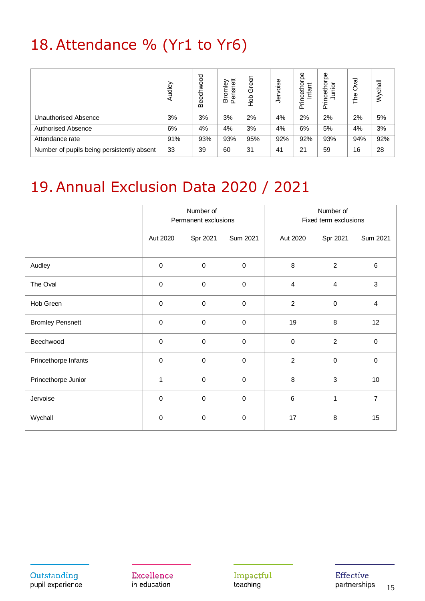# <span id="page-14-0"></span>18.Attendance % (Yr1 to Yr6)

|                                            | Audley | Beechwood | ≠<br>Bromley<br>Pensnett<br>თ<br>۵Ë | ৯<br>Φ<br>O<br>$\frac{1}{2}$<br>ᅩ | oise<br>ھر | рe<br>cethor<br>Infant<br>È | pe<br>Princetho<br>Junior | Oval<br>The | Wychall |
|--------------------------------------------|--------|-----------|-------------------------------------|-----------------------------------|------------|-----------------------------|---------------------------|-------------|---------|
| Unauthorised Absence                       | 3%     | 3%        | 3%                                  | 2%                                | 4%         | 2%                          | 2%                        | 2%          | 5%      |
| <b>Authorised Absence</b>                  | 6%     | 4%        | 4%                                  | 3%                                | 4%         | 6%                          | 5%                        | 4%          | 3%      |
| Attendance rate                            | 91%    | 93%       | 93%                                 | 95%                               | 92%        | 92%                         | 93%                       | 94%         | 92%     |
| Number of pupils being persistently absent | 33     | 39        | 60                                  | 31                                | 41         | 21                          | 59                        | 16          | 28      |

### <span id="page-14-1"></span>19.Annual Exclusion Data 2020 / 2021

|                         | Number of<br>Permanent exclusions |             |             |  | Number of<br>Fixed term exclusions |                  |                |  |
|-------------------------|-----------------------------------|-------------|-------------|--|------------------------------------|------------------|----------------|--|
|                         | Aut 2020                          | Spr 2021    | Sum 2021    |  | Aut 2020                           | Spr 2021         | Sum 2021       |  |
| Audley                  | $\pmb{0}$                         | $\mathsf 0$ | $\pmb{0}$   |  | 8                                  | $\overline{c}$   | $\,6\,$        |  |
| The Oval                | $\mathbf 0$                       | $\mathbf 0$ | $\pmb{0}$   |  | $\overline{4}$                     | $\overline{4}$   | $\mathbf{3}$   |  |
| Hob Green               | $\mathbf 0$                       | $\mathbf 0$ | $\mathbf 0$ |  | $\overline{c}$                     | $\pmb{0}$        | 4              |  |
| <b>Bromley Pensnett</b> | $\mathbf 0$                       | $\mathbf 0$ | $\mathbf 0$ |  | 19                                 | 8                | 12             |  |
| Beechwood               | $\mathbf 0$                       | $\mathbf 0$ | $\pmb{0}$   |  | $\mathbf 0$                        | $\overline{2}$   | $\pmb{0}$      |  |
| Princethorpe Infants    | $\pmb{0}$                         | $\mathbf 0$ | 0           |  | $\overline{2}$                     | $\boldsymbol{0}$ | $\mathbf 0$    |  |
| Princethorpe Junior     | 1                                 | $\pmb{0}$   | $\pmb{0}$   |  | 8                                  | $\mathbf{3}$     | 10             |  |
| Jervoise                | $\mathbf 0$                       | $\mathbf 0$ | $\mathbf 0$ |  | $6\phantom{1}$                     | 1                | $\overline{7}$ |  |
| Wychall                 | $\mathbf 0$                       | $\pmb{0}$   | $\pmb{0}$   |  | 17                                 | 8                | 15             |  |

Excellence in education

Impactful teaching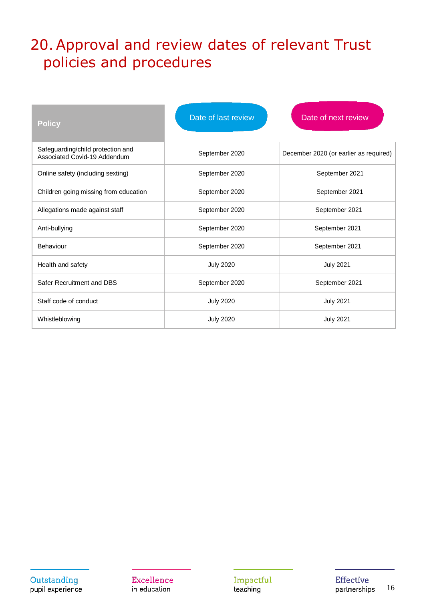### <span id="page-15-0"></span>20.Approval and review dates of relevant Trust policies and procedures

| <b>Policy</b>                                                     | Date of last review | Date of next review                    |
|-------------------------------------------------------------------|---------------------|----------------------------------------|
| Safeguarding/child protection and<br>Associated Covid-19 Addendum | September 2020      | December 2020 (or earlier as required) |
| Online safety (including sexting)                                 | September 2020      | September 2021                         |
| Children going missing from education                             | September 2020      | September 2021                         |
| Allegations made against staff                                    | September 2020      | September 2021                         |
| Anti-bullying                                                     | September 2020      | September 2021                         |
| Behaviour                                                         | September 2020      | September 2021                         |
| Health and safety                                                 | <b>July 2020</b>    | <b>July 2021</b>                       |
| Safer Recruitment and DBS                                         | September 2020      | September 2021                         |
| Staff code of conduct                                             | <b>July 2020</b>    | <b>July 2021</b>                       |
| Whistleblowing                                                    | <b>July 2020</b>    | <b>July 2021</b>                       |

Outstanding pupil experience Excellence in education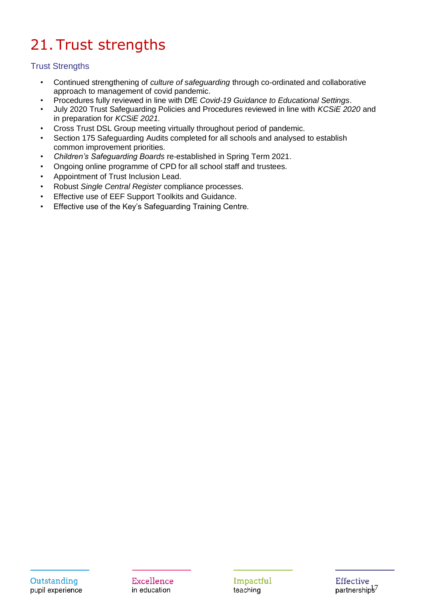# <span id="page-16-0"></span>21. Trust strengths

#### Trust Strengths

- Continued strengthening of *culture of safeguarding* through co-ordinated and collaborative approach to management of covid pandemic.
- Procedures fully reviewed in line with DfE *Covid-19 Guidance to Educational Settings*.
- July 2020 Trust Safeguarding Policies and Procedures reviewed in line with *KCSiE 2020* and in preparation for *KCSiE 2021.*
- Cross Trust DSL Group meeting virtually throughout period of pandemic.
- Section 175 Safeguarding Audits completed for all schools and analysed to establish common improvement priorities.
- *Children's Safeguarding Boards* re-established in Spring Term 2021.
- Ongoing online programme of CPD for all school staff and trustees.
- Appointment of Trust Inclusion Lead.
- Robust *Single Central Register* compliance processes.
- Effective use of EEF Support Toolkits and Guidance.
- Effective use of the Key's Safeguarding Training Centre.

Impactful teaching

**Effective** partnerships<sup>7</sup>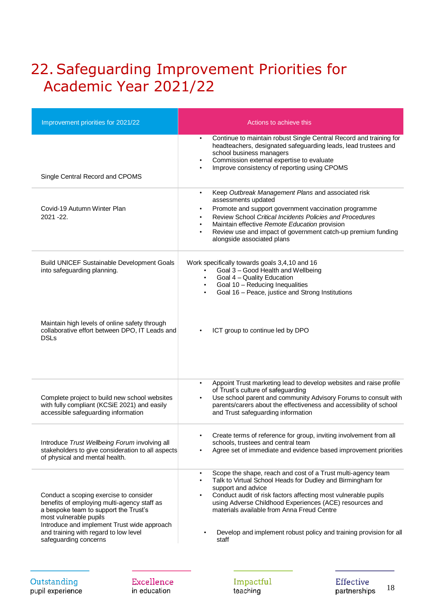### <span id="page-17-0"></span>22.Safeguarding Improvement Priorities for Academic Year 2021/22

| Improvement priorities for 2021/22                                                                                                                                                                                                                                        | Actions to achieve this                                                                                                                                                                                                                                                                                                                                                                                                              |
|---------------------------------------------------------------------------------------------------------------------------------------------------------------------------------------------------------------------------------------------------------------------------|--------------------------------------------------------------------------------------------------------------------------------------------------------------------------------------------------------------------------------------------------------------------------------------------------------------------------------------------------------------------------------------------------------------------------------------|
| Single Central Record and CPOMS                                                                                                                                                                                                                                           | Continue to maintain robust Single Central Record and training for<br>$\bullet$<br>headteachers, designated safeguarding leads, lead trustees and<br>school business managers<br>Commission external expertise to evaluate<br>$\bullet$<br>Improve consistency of reporting using CPOMS<br>$\bullet$                                                                                                                                 |
| Covid-19 Autumn Winter Plan<br>2021 - 22.                                                                                                                                                                                                                                 | Keep Outbreak Management Plans and associated risk<br>$\bullet$<br>assessments updated<br>Promote and support government vaccination programme<br>$\bullet$<br>Review School Critical Incidents Policies and Procedures<br>Maintain effective Remote Education provision<br>Review use and impact of government catch-up premium funding<br>alongside associated plans                                                               |
| <b>Build UNICEF Sustainable Development Goals</b><br>into safeguarding planning.                                                                                                                                                                                          | Work specifically towards goals 3,4,10 and 16<br>Goal 3 - Good Health and Wellbeing<br>$\bullet$<br>Goal 4 - Quality Education<br>$\bullet$<br>Goal 10 - Reducing Inequalities<br>Goal 16 - Peace, justice and Strong Institutions                                                                                                                                                                                                   |
| Maintain high levels of online safety through<br>collaborative effort between DPO, IT Leads and<br><b>DSLs</b>                                                                                                                                                            | ICT group to continue led by DPO                                                                                                                                                                                                                                                                                                                                                                                                     |
| Complete project to build new school websites<br>with fully compliant (KCSiE 2021) and easily<br>accessible safeguarding information                                                                                                                                      | Appoint Trust marketing lead to develop websites and raise profile<br>of Trust's culture of safeguarding<br>Use school parent and community Advisory Forums to consult with<br>parents/carers about the effectiveness and accessibility of school<br>and Trust safeguarding information                                                                                                                                              |
| Introduce Trust Wellbeing Forum involving all<br>stakeholders to give consideration to all aspects<br>of physical and mental health.                                                                                                                                      | Create terms of reference for group, inviting involvement from all<br>schools, trustees and central team<br>Agree set of immediate and evidence based improvement priorities                                                                                                                                                                                                                                                         |
| Conduct a scoping exercise to consider<br>benefits of employing multi-agency staff as<br>a bespoke team to support the Trust's<br>most vulnerable pupils<br>Introduce and implement Trust wide approach<br>and training with regard to low level<br>safeguarding concerns | Scope the shape, reach and cost of a Trust multi-agency team<br>$\bullet$<br>Talk to Virtual School Heads for Dudley and Birmingham for<br>$\bullet$<br>support and advice<br>Conduct audit of risk factors affecting most vulnerable pupils<br>using Adverse Childhood Experiences (ACE) resources and<br>materials available from Anna Freud Centre<br>Develop and implement robust policy and training provision for all<br>staff |

Excellence in education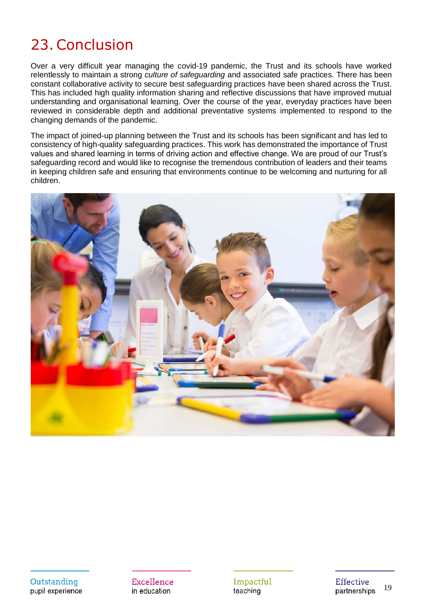### <span id="page-18-0"></span>23.Conclusion

Over a very difficult year managing the covid-19 pandemic, the Trust and its schools have worked relentlessly to maintain a strong *culture of safeguarding* and associated safe practices. There has been constant collaborative activity to secure best safeguarding practices have been shared across the Trust. This has included high quality information sharing and reflective discussions that have improved mutual understanding and organisational learning. Over the course of the year, everyday practices have been reviewed in considerable depth and additional preventative systems implemented to respond to the changing demands of the pandemic.

The impact of joined-up planning between the Trust and its schools has been significant and has led to consistency of high-quality safeguarding practices. This work has demonstrated the importance of Trust values and shared learning in terms of driving action and effective change. We are proud of our Trust's safeguarding record and would like to recognise the tremendous contribution of leaders and their teams in keeping children safe and ensuring that environments continue to be welcoming and nurturing for all children.



Outstanding pupil experience Excellence in education

Impactful teaching